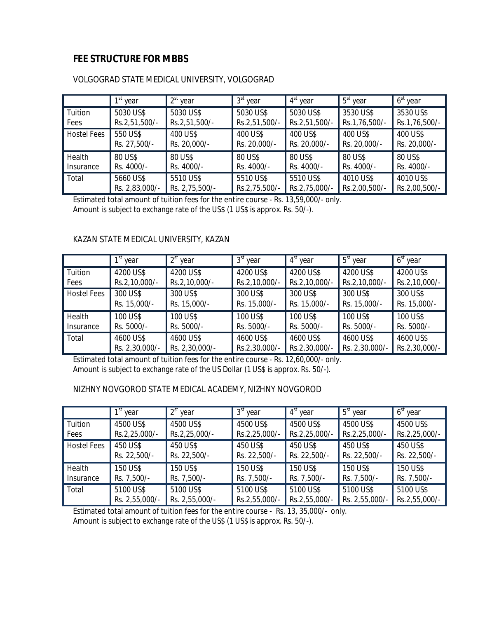# **FEE STRUCTURE FOR MBBS**

|                    | 1 <sup>st</sup> year | $2st$ year     | $3st$ year    | $4st$ year    | $5st$ year    | $6st$ year    |
|--------------------|----------------------|----------------|---------------|---------------|---------------|---------------|
| Tuition            | 5030 US\$            | 5030 US\$      | 5030 US\$     | 5030 US\$     | 3530 US\$     | 3530 US\$     |
| Fees               | Rs.2,51,500/-        | Rs.2,51,500/-  | Rs.2,51,500/- | Rs.2,51,500/- | Rs.1,76,500/- | Rs.1,76,500/- |
| <b>Hostel Fees</b> | 550 US\$             | 400 US\$       | 400 US\$      | 400 US\$      | 400 US\$      | 400 US\$      |
|                    | Rs. 27,500/-         | Rs. 20,000/-   | Rs. 20,000/-  | Rs. 20,000/-  | Rs. 20,000/-  | Rs. 20,000/-  |
| Health             | 80 US\$              | 80 US\$        | 80 US\$       | 80 US\$       | 80 US\$       | 80 US\$       |
| Insurance          | Rs. 4000/-           | Rs. 4000/-     | Rs. 4000/-    | Rs. 4000/-    | Rs. 4000/-    | Rs. 4000/-    |
| Total              | 5660 US\$            | 5510 US\$      | 5510 US\$     | 5510 US\$     | 4010 US\$     | 4010 US\$     |
|                    | Rs. 2,83,000/-       | Rs. 2,75,500/- | Rs.2,75,500/- | Rs.2,75,000/- | Rs.2,00,500/- | Rs.2,00,500/- |

### VOLGOGRAD STATE MEDICAL UNIVERSITY, VOLGOGRAD

Estimated total amount of tuition fees for the entire course - Rs. 13,59,000/- only. Amount is subject to exchange rate of the US\$ (1 US\$ is approx. Rs. 50/-).

#### KAZAN STATE MEDICAL UNIVERSITY, KAZAN

|                    | $1st$ year     | $2st$ year     | $3st$ year    | $4st$ year    | $5st$ year     | $6st$ year    |
|--------------------|----------------|----------------|---------------|---------------|----------------|---------------|
| Tuition            | 4200 US\$      | 4200 US\$      | 4200 US\$     | 4200 US\$     | 4200 US\$      | 4200 US\$     |
| Fees               | Rs.2,10,000/-  | Rs.2,10,000/-  | Rs.2,10,000/- | Rs.2,10,000/- | Rs.2,10,000/-  | Rs.2,10,000/- |
| <b>Hostel Fees</b> | 300 US\$       | 300 US\$       | 300 US\$      | 300 US\$      | 300 US\$       | 300 US\$      |
|                    | Rs. 15,000/-   | Rs. 15,000/-   | Rs. 15,000/-  | Rs. 15,000/-  | Rs. 15,000/-   | Rs. 15,000/-  |
| Health             | 100 US\$       | 100 US\$       | 100 US\$      | 100 US\$      | 100 US\$       | 100 US\$      |
| Insurance          | Rs. 5000/-     | Rs. 5000/-     | Rs. 5000/-    | Rs. 5000/-    | Rs. 5000/-     | Rs. 5000/-    |
| Total              | 4600 US\$      | 4600 US\$      | 4600 US\$     | 4600 US\$     | 4600 US\$      | 4600 US\$     |
|                    | Rs. 2,30,000/- | Rs. 2,30,000/- | Rs.2,30,000/- | Rs.2,30,000/- | Rs. 2,30,000/- | Rs.2,30,000/- |

Estimated total amount of tuition fees for the entire course - Rs. 12,60,000/- only. Amount is subject to exchange rate of the US Dollar (1 US\$ is approx. Rs. 50/-).

### NIZHNY NOVGOROD STATE MEDICAL ACADEMY, NIZHNY NOVGOROD

|                    | 1 <sup>st</sup> year | $2st$ year     | 3 <sup>st</sup><br>year | $4st$ year    | $5st$ year     | $6st$ year    |
|--------------------|----------------------|----------------|-------------------------|---------------|----------------|---------------|
| Tuition            | 4500 US\$            | 4500 US\$      | 4500 US\$               | 4500 US\$     | 4500 US\$      | 4500 US\$     |
| Fees               | Rs.2,25,000/-        | Rs.2,25,000/-  | Rs.2,25,000/-           | Rs.2,25,000/- | Rs.2,25,000/-  | Rs.2,25,000/- |
| <b>Hostel Fees</b> | 450 US\$             | 450 US\$       | 450 US\$                | 450 US\$      | 450 US\$       | 450 US\$      |
|                    | Rs. 22,500/-         | Rs. 22,500/-   | Rs. 22,500/-            | Rs. 22,500/-  | Rs. 22,500/-   | Rs. 22,500/-  |
| Health             | 150 US\$             | 150 US\$       | 150 US\$                | 150 US\$      | 150 US\$       | 150 US\$      |
| Insurance          | Rs. 7,500/-          | Rs. 7,500/-    | Rs. 7,500/-             | Rs. 7,500/-   | Rs. 7,500/-    | Rs. 7,500/-   |
| Total              | 5100 US\$            | 5100 US\$      | 5100 US\$               | 5100 US\$     | 5100 US\$      | 5100 US\$     |
|                    | Rs. 2,55,000/-       | Rs. 2,55,000/- | Rs.2,55,000/-           | Rs.2,55,000/- | Rs. 2,55,000/- | Rs.2,55,000/- |

Estimated total amount of tuition fees for the entire course - Rs. 13, 35,000/- only. Amount is subject to exchange rate of the US\$ (1 US\$ is approx. Rs. 50/-).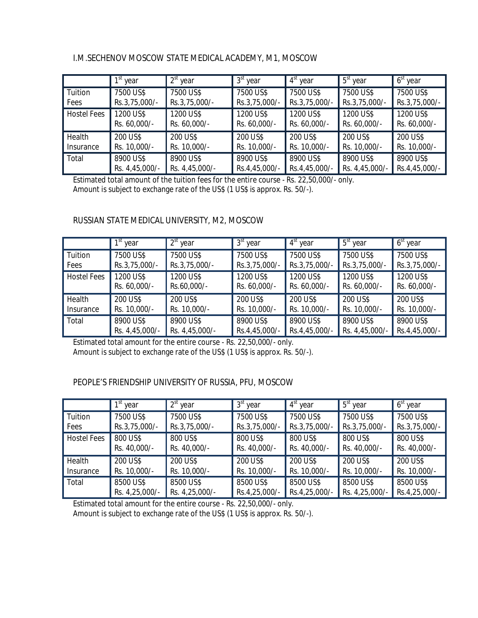## I.M.SECHENOV MOSCOW STATE MEDICAL ACADEMY, M1, MOSCOW

|                    | 1 <sup>st</sup> year | $2st$ year     | $3st$ year    | $4st$ year    | $5st$ year     | $6st$ year    |
|--------------------|----------------------|----------------|---------------|---------------|----------------|---------------|
| Tuition            | 7500 US\$            | 7500 US\$      | 7500 US\$     | 7500 US\$     | 7500 US\$      | 7500 US\$     |
| Fees               | Rs.3,75,000/-        | Rs.3,75,000/-  | Rs.3,75,000/- | Rs.3,75,000/- | Rs.3,75,000/-  | Rs.3,75,000/- |
| <b>Hostel Fees</b> | 1200 US\$            | 1200 US\$      | 1200 US\$     | 1200 US\$     | 1200 US\$      | 1200 US\$     |
|                    | Rs. 60,000/-         | Rs. 60,000/-   | Rs. 60,000/-  | Rs. 60,000/-  | Rs. 60,000/-   | Rs. 60,000/-  |
| Health             | 200 US\$             | 200 US\$       | 200 US\$      | 200 US\$      | 200 US\$       | 200 US\$      |
| Insurance          | Rs. 10,000/-         | Rs. 10,000/-   | Rs. 10,000/-  | Rs. 10,000/-  | Rs. 10,000/-   | Rs. 10,000/-  |
| Total              | 8900 US\$            | 8900 US\$      | 8900 US\$     | 8900 US\$     | 8900 US\$      | 8900 US\$     |
|                    | Rs. 4,45,000/-       | Rs. 4,45,000/- | Rs.4,45,000/- | Rs.4,45,000/- | Rs. 4,45,000/- | Rs.4,45,000/- |

Estimated total amount of the tuition fees for the entire course - Rs. 22,50,000/- only. Amount is subject to exchange rate of the US\$ (1 US\$ is approx. Rs. 50/-).

### RUSSIAN STATE MEDICAL UNIVERSITY, M2, MOSCOW

|                    | $1st$ year                | $2st$ year               | 3 <sup>st</sup> year      | 4 <sup>st</sup> year      | $5st$ year                | $6st$ year                |
|--------------------|---------------------------|--------------------------|---------------------------|---------------------------|---------------------------|---------------------------|
| Tuition            | 7500 US\$                 | 7500 US\$                | 7500 US\$                 | 7500 US\$                 | 7500 US\$                 | 7500 US\$                 |
| Fees               | Rs.3,75,000/-             | Rs.3,75,000/-            | Rs.3,75,000/-             | Rs.3,75,000/-             | Rs.3,75,000/-             | Rs.3,75,000/-             |
| <b>Hostel Fees</b> | 1200 US\$<br>Rs. 60,000/- | 1200 US\$<br>Rs.60,000/- | 1200 US\$<br>Rs. 60,000/- | 1200 US\$<br>Rs. 60,000/- | 1200 US\$<br>Rs. 60,000/- | 1200 US\$<br>Rs. 60,000/- |
|                    |                           |                          |                           |                           |                           |                           |
| Health             | 200 US\$                  | 200 US\$                 | 200 US\$                  | 200 US\$                  | 200 US\$                  | 200 US\$                  |
| Insurance          | Rs. 10,000/-              | Rs. 10,000/-             | Rs. 10,000/-              | Rs. 10,000/-              | Rs. 10,000/-              | Rs. 10,000/-              |
| Total              | 8900 US\$                 | 8900 US\$                | 8900 US\$                 | 8900 US\$                 | 8900 US\$                 | 8900 US\$                 |
|                    | Rs. 4,45,000/-            | Rs. 4,45,000/-           | Rs.4,45,000/-             | Rs.4,45,000/-             | Rs. 4,45,000/-            | Rs.4,45,000/-             |

Estimated total amount for the entire course - Rs. 22,50,000/- only. Amount is subject to exchange rate of the US\$ (1 US\$ is approx. Rs. 50/-).

### PEOPLE'S FRIENDSHIP UNIVERSITY OF RUSSIA, PFU, MOSCOW

|                    | 1 <sup>st</sup> year     | $2st$ year               | $3st$ year               | $4st$ year               | $5st$ year               | $6st$ year               |
|--------------------|--------------------------|--------------------------|--------------------------|--------------------------|--------------------------|--------------------------|
| Tuition            | 7500 US\$                | 7500 US\$                | 7500 US\$                | 7500 US\$                | 7500 US\$                | 7500 US\$                |
| Fees               | Rs.3,75,000/-            | Rs.3,75,000/-            | Rs.3,75,000/-            | Rs.3,75,000/-            | Rs.3,75,000/-            | Rs.3,75,000/-            |
| <b>Hostel Fees</b> | 800 US\$<br>Rs. 40,000/- | 800 US\$<br>Rs. 40,000/- | 800 US\$<br>Rs. 40,000/- | 800 US\$<br>Rs. 40,000/- | 800 US\$<br>Rs. 40,000/- | 800 US\$<br>Rs. 40,000/- |
| Health             | 200 US\$                 | 200 US\$                 | 200 US\$                 | 200 US\$                 | 200 US\$                 | 200 US\$                 |
| Insurance          | Rs. 10,000/-             | Rs. 10,000/-             | Rs. 10,000/-             | Rs. 10,000/-             | Rs. 10,000/-             | Rs. 10,000/-             |
| Total              | 8500 US\$                | 8500 US\$                | 8500 US\$                | 8500 US\$                | 8500 US\$                | 8500 US\$                |
|                    | Rs. 4,25,000/-           | Rs. 4,25,000/-           | Rs.4,25,000/-            | Rs.4,25,000/-            | Rs. 4,25,000/-           | Rs.4,25,000/-            |

Estimated total amount for the entire course - Rs. 22,50,000/- only.

Amount is subject to exchange rate of the US\$ (1 US\$ is approx. Rs. 50/-).